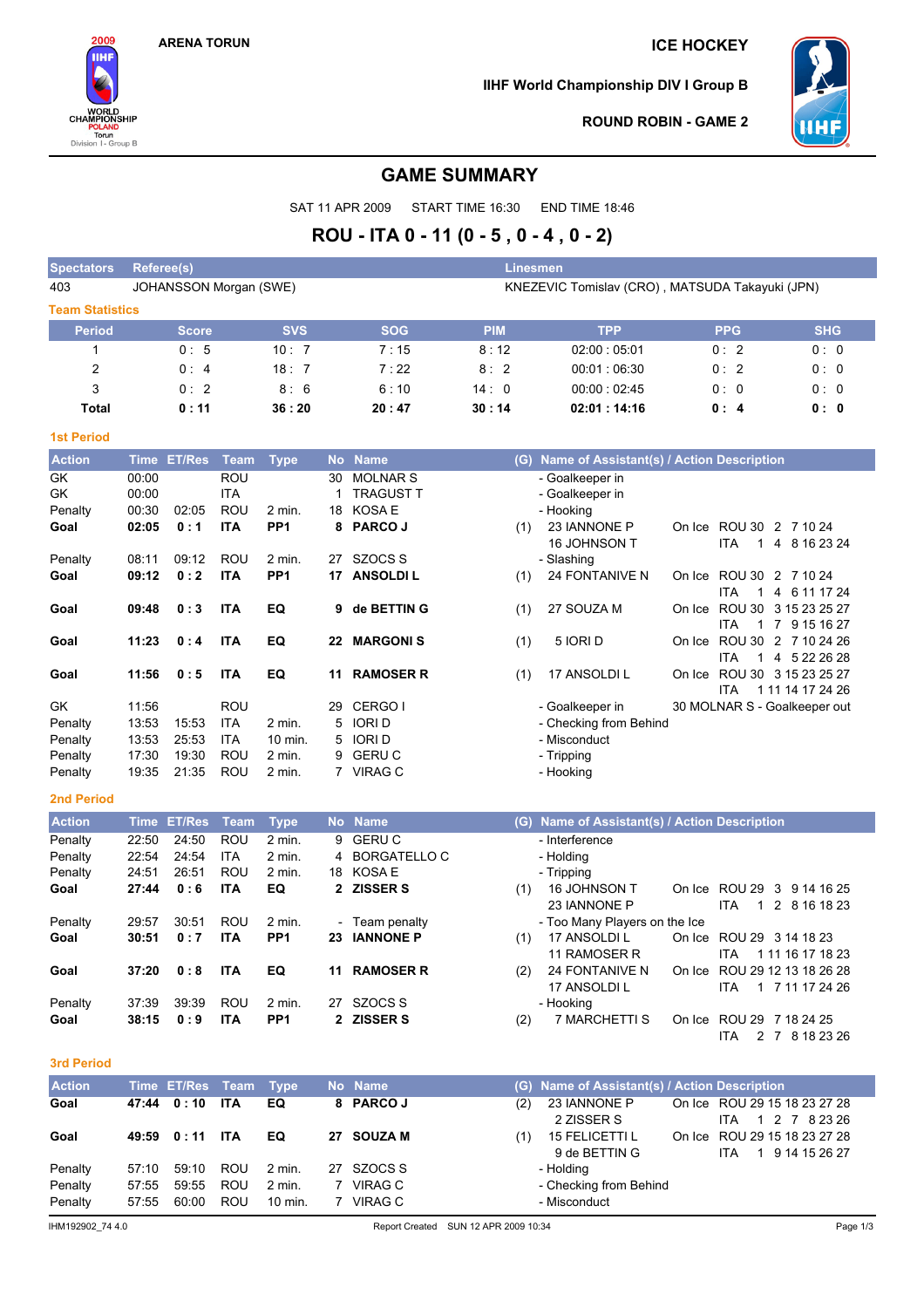2009 **IIHF** 

WORLD<br>CHAMPIONSHIP

POLAND<br>Torun<br>Division I - Group B

## **ARENA TORUN ICE HOCKEY**

**IIHF World Championship DIV I Group B**



**ROUND ROBIN - GAME 2**

## **GAME SUMMARY**

SAT 11 APR 2009 START TIME 16:30 END TIME 18:46

# **ROU - ITA 0 - 11 (0 - 5 , 0 - 4 , 0 - 2)**

| <b>Spectators</b>      | Referee(s)<br><b>Linesmen</b>                                             |            |            |            |             |            |            |  |  |  |
|------------------------|---------------------------------------------------------------------------|------------|------------|------------|-------------|------------|------------|--|--|--|
| 403                    | KNEZEVIC Tomislav (CRO), MATSUDA Takayuki (JPN)<br>JOHANSSON Morgan (SWE) |            |            |            |             |            |            |  |  |  |
| <b>Team Statistics</b> |                                                                           |            |            |            |             |            |            |  |  |  |
| <b>Period</b>          | <b>Score</b>                                                              | <b>SVS</b> | <b>SOG</b> | <b>PIM</b> | <b>TPP</b>  | <b>PPG</b> | <b>SHG</b> |  |  |  |
|                        | 0:5                                                                       | 10:7       | 7:15       | 8:12       | 02:00:05:01 | 0:2        | 0:0        |  |  |  |
| 2                      | 0:4                                                                       | 18:7       | 7:22       | 8:2        | 00:01:06:30 | 0:2        | 0:0        |  |  |  |
| 3                      | 0:2                                                                       | 8:6        | 6:10       | 14:0       | 00:00:02:45 | 0:0        | 0:0        |  |  |  |
| Total                  | 0:11                                                                      | 36:20      | 20:47      | 30:14      | 02:01:14:16 | 0:4        | 0:0        |  |  |  |

## **1st Period**

| <b>Action</b> |       | Time ET/Res | Team       | <b>Type</b>       | No. | <b>Name</b>      | (G) | Name of Assistant(s) / Action Description |        |                                                 |
|---------------|-------|-------------|------------|-------------------|-----|------------------|-----|-------------------------------------------|--------|-------------------------------------------------|
| GK            | 00:00 |             | ROU        |                   | 30  | <b>MOLNAR S</b>  |     | - Goalkeeper in                           |        |                                                 |
| GK            | 00:00 |             | <b>ITA</b> |                   |     | <b>TRAGUST T</b> |     | - Goalkeeper in                           |        |                                                 |
| Penalty       | 00:30 | 02:05       | <b>ROU</b> | $2$ min.          |     | 18 KOSA E        |     | - Hooking                                 |        |                                                 |
| Goal          | 02:05 | 0:1         | <b>ITA</b> | PP <sub>1</sub>   | 8   | <b>PARCO J</b>   | (1) | 23 IANNONE P                              | On Ice | ROU 30 2 7 10 24                                |
|               |       |             |            |                   |     |                  |     | 16 JOHNSON T                              |        | 8 16 23 24<br>ITA<br>4                          |
| Penalty       | 08:11 | 09:12       | <b>ROU</b> | $2 \text{ min}$ . | 27  | SZOCS S          |     | - Slashing                                |        |                                                 |
| Goal          | 09:12 | 0:2         | <b>ITA</b> | PP <sub>1</sub>   | 17  | <b>ANSOLDIL</b>  | (1) | <b>24 FONTANIVE N</b>                     | On Ice | ROU 30 2 7 10 24                                |
|               |       |             |            |                   |     |                  |     |                                           |        | ITA<br>4 6 11 17 24<br>1                        |
| Goal          | 09:48 | 0:3         | <b>ITA</b> | EQ                | 9   | de BETTIN G      | (1) | 27 SOUZA M                                | On Ice | ROU 30 3 15 23 25 27                            |
|               |       |             |            |                   |     |                  |     |                                           |        | 9 15 16 27<br><b>ITA</b><br>$\overline{7}$<br>1 |
| Goal          | 11:23 | 0:4         | <b>ITA</b> | EQ                | 22  | <b>MARGONIS</b>  | (1) | 5 IORI D                                  | On Ice | ROU 30<br>2 7 10 24 26                          |
|               |       |             |            |                   |     |                  |     |                                           |        | 5 22 26 28<br>ITA<br>4                          |
| Goal          | 11:56 | 0:5         | <b>ITA</b> | EQ                | 11  | <b>RAMOSER R</b> | (1) | 17 ANSOLDI L                              | On Ice | ROU 30 3 15 23 25 27                            |
|               |       |             |            |                   |     |                  |     |                                           |        | ITA<br>1 11 14 17 24 26                         |
| GK            | 11:56 |             | <b>ROU</b> |                   | 29  | CERGO I          |     | - Goalkeeper in                           |        | 30 MOLNAR S - Goalkeeper out                    |
| Penalty       | 13:53 | 15:53       | <b>ITA</b> | $2$ min.          | 5.  | <b>IORID</b>     |     | - Checking from Behind                    |        |                                                 |
| Penalty       | 13:53 | 25:53       | <b>ITA</b> | $10$ min.         |     | 5 IORID          |     | - Misconduct                              |        |                                                 |
| Penalty       | 17:30 | 19:30       | <b>ROU</b> | 2 min.            |     | 9 GERUC          |     | - Tripping                                |        |                                                 |
| Penalty       | 19:35 | 21:35       | ROU        | 2 min.            |     | 7 VIRAG C        |     | - Hooking                                 |        |                                                 |

#### **2nd Period**

| <b>Action</b> |       | Time ET/Res | Team       | <b>Type</b>       |    | No Name          | (G) | Name of Assistant(s) / Action Description |                               |
|---------------|-------|-------------|------------|-------------------|----|------------------|-----|-------------------------------------------|-------------------------------|
| Penalty       | 22:50 | 24:50       | <b>ROU</b> | $2$ min.          |    | 9 GERUC          |     | - Interference                            |                               |
| Penalty       | 22:54 | 24:54       | ITA        | $2 \text{ min}$ . |    | 4 BORGATELLO C   |     | - Holding                                 |                               |
| Penalty       | 24:51 | 26:51       | <b>ROU</b> | 2 min.            |    | 18 KOSA E        |     | - Tripping                                |                               |
| Goal          | 27:44 | 0:6         | <b>ITA</b> | EQ                |    | 2 ZISSER S       | (1) | 16 JOHNSON T                              | On Ice ROU 29 3<br>9 14 16 25 |
|               |       |             |            |                   |    |                  |     | 23 IANNONE P                              | ITA.<br>1 2 8 16 18 23        |
| Penalty       | 29:57 | 30:51       | <b>ROU</b> | 2 min.            |    | - Team penalty   |     | - Too Many Players on the Ice             |                               |
| Goal          | 30:51 | 0:7         | <b>ITA</b> | PP <sub>1</sub>   | 23 | <b>IANNONE P</b> | (1) | 17 ANSOLDI L                              | On Ice ROU 29 3 14 18 23      |
|               |       |             |            |                   |    |                  |     | 11 RAMOSER R                              | 1 11 16 17 18 23<br>ITA.      |
| Goal          | 37:20 | 0:8         | <b>ITA</b> | EQ                | 11 | <b>RAMOSER R</b> | (2) | <b>24 FONTANIVE N</b>                     | On Ice ROU 29 12 13 18 26 28  |
|               |       |             |            |                   |    |                  |     | 17 ANSOLDI L                              | 1 7 11 17 24 26<br>ITA.       |
| Penalty       | 37:39 | 39:39       | <b>ROU</b> | 2 min.            | 27 | SZOCS S          |     | - Hooking                                 |                               |
| Goal          | 38:15 | 0:9         | <b>ITA</b> | PP <sub>1</sub>   |    | 2 ZISSER S       | (2) | 7 MARCHETTI S                             | On Ice ROU 29 7 18 24 25      |
|               |       |             |            |                   |    |                  |     |                                           | 8 18 23 26<br>2 7<br>ITA      |

#### **3rd Period**

| <b>Action</b> |       | Time ET/Res Team Type |            |          | No Name    |     | (G) Name of Assistant(s) / Action Description |                                               |
|---------------|-------|-----------------------|------------|----------|------------|-----|-----------------------------------------------|-----------------------------------------------|
| Goal          |       | 47:44 0:10            | <b>ITA</b> | EQ       | 8 PARCOJ   | (2) | 23 IANNONE P<br>2 ZISSER S                    | On Ice ROU 29 15 18 23 27 28<br>1 2 7 8 23 26 |
| Goal          |       | 49:59 0:11 ITA        |            | EQ.      | 27 SOUZA M | (1) | 15 FELICETTI L                                | ITA.<br>On Ice ROU 29 15 18 23 27 28          |
|               |       |                       |            |          |            |     | 9 de BETTIN G                                 | 1 9 14 15 26 27<br>ITA.                       |
| Penalty       | 57:10 | 59:10                 | ROU        | 2 min.   | 27 SZOCS S |     | - Holding                                     |                                               |
| Penalty       | 57:55 | 59:55                 | ROU        | $2$ min. | 7 VIRAG C  |     | - Checking from Behind                        |                                               |
| Penalty       | 57:55 | 60:00                 | <b>ROU</b> | 10 min.  | VIRAG C    |     | - Misconduct                                  |                                               |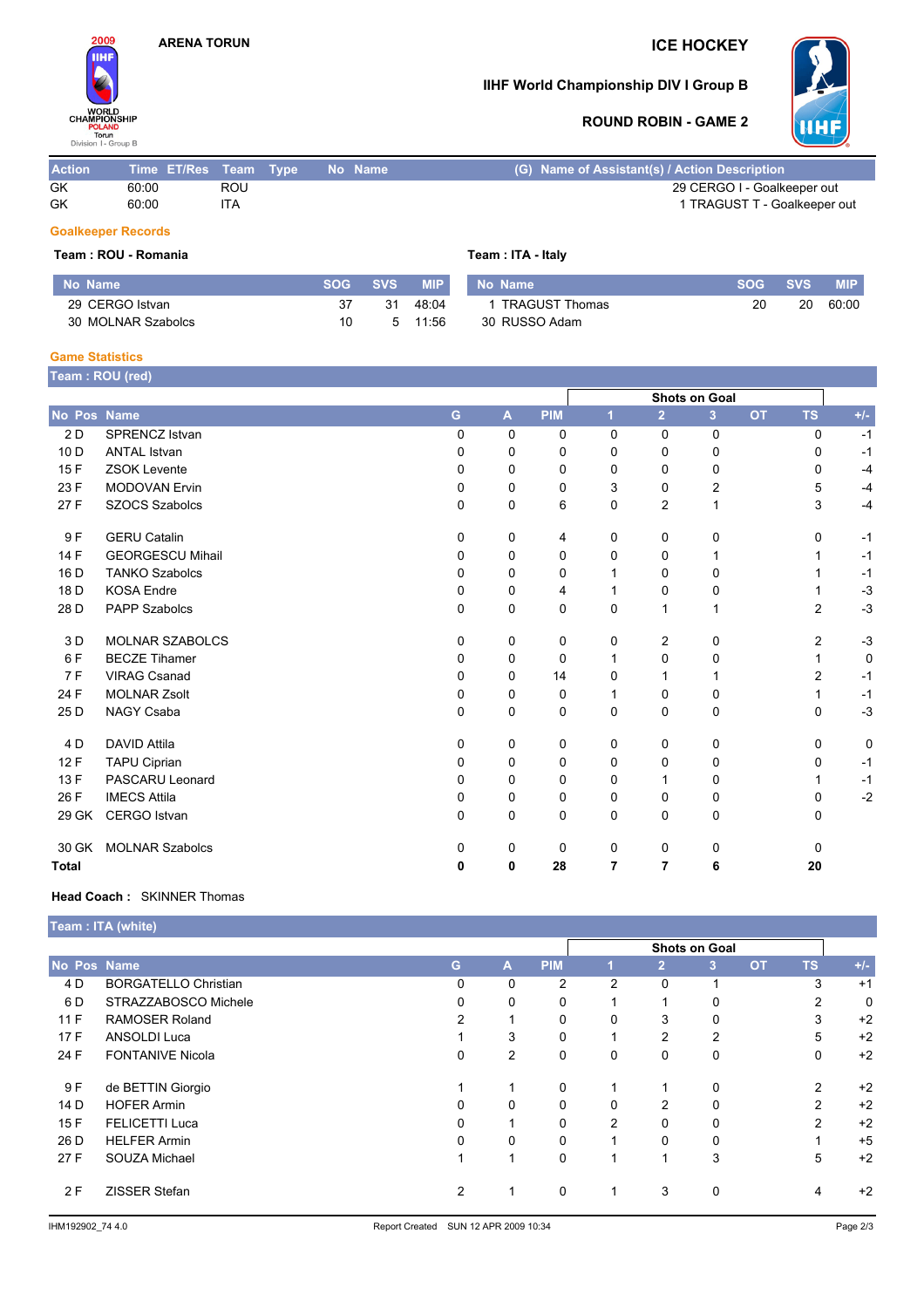

## **IIHF World Championship DIV I Group B**



## **ROUND ROBIN - GAME 2**

| <b>Action</b> | Time ET/Res Team Type |     | - No Name | (G) Name of Assistant(s) / Action Description |
|---------------|-----------------------|-----|-----------|-----------------------------------------------|
| GK            | 60:00                 | ROU |           | 29 CERGO I - Goalkeeper out                   |
| GK            | 60:00                 | ITA |           | 1 TRAGUST T - Goalkeeper out                  |

#### **Goalkeeper Records**

#### **Team : ROU - Romania Team : ITA - Italy**

| No Name            | <b>SOG</b> | <b>SVS</b> | <b>MIP</b> | No Name               | <b>SOG</b> | <b>SVS</b> | <b>MIP</b> |
|--------------------|------------|------------|------------|-----------------------|------------|------------|------------|
| 29 CERGO Istvan    | 37         | 31         | 48:04      | <b>TRAGUST Thomas</b> | 20         | 20         | 60:00      |
| 30 MOLNAR Szabolcs |            | Б.         | 11:56      | 30 RUSSO Adam         |            |            |            |

#### **Game Statistics**

|                 | Team: ROU (red)         |          |   |            |                |                |                      |           |                |       |
|-----------------|-------------------------|----------|---|------------|----------------|----------------|----------------------|-----------|----------------|-------|
|                 |                         |          |   |            |                |                | <b>Shots on Goal</b> |           |                |       |
| No Pos Name     |                         | G        | A | <b>PIM</b> | 1              | $\overline{2}$ | 3                    | <b>OT</b> | <b>TS</b>      | $+/-$ |
| 2 D             | <b>SPRENCZ Istvan</b>   | $\Omega$ | 0 | 0          | $\Omega$       | $\mathbf 0$    | 0                    |           | 0              | $-1$  |
| 10 <sub>D</sub> | <b>ANTAL Istvan</b>     | 0        | 0 | 0          | 0              | 0              | 0                    |           | 0              | $-1$  |
| 15F             | <b>ZSOK Levente</b>     | 0        | 0 | 0          | $\Omega$       | 0              | 0                    |           | 0              | $-4$  |
| 23 F            | <b>MODOVAN Ervin</b>    | 0        | 0 | 0          | 3              | 0              | 2                    |           | 5              | $-4$  |
| 27 F            | <b>SZOCS Szabolcs</b>   | 0        | 0 | 6          | 0              | 2              | $\mathbf{1}$         |           | 3              | $-4$  |
| 9F              | <b>GERU Catalin</b>     | 0        | 0 | 4          | 0              | 0              | 0                    |           | 0              | $-1$  |
| 14 F            | <b>GEORGESCU Mihail</b> | 0        | 0 | 0          | 0              | $\Omega$       | 1                    |           |                | $-1$  |
| 16 D            | <b>TANKO Szabolcs</b>   | $\Omega$ | 0 | 0          |                | $\Omega$       | 0                    |           |                | $-1$  |
| 18 D            | <b>KOSA Endre</b>       | 0        | 0 | 4          |                | $\Omega$       | 0                    |           |                | $-3$  |
| 28 D            | <b>PAPP Szabolcs</b>    | 0        | 0 | 0          | $\Omega$       | 1              | 1                    |           | $\overline{2}$ | $-3$  |
| 3 D             | <b>MOLNAR SZABOLCS</b>  | 0        | 0 | 0          | 0              | 2              | 0                    |           | $\overline{2}$ | $-3$  |
| 6F              | <b>BECZE Tihamer</b>    | 0        | 0 | 0          |                | 0              | 0                    |           | 1              | 0     |
| 7F              | <b>VIRAG Csanad</b>     | 0        | 0 | 14         | 0              |                | 1                    |           | $\overline{2}$ | $-1$  |
| 24 F            | <b>MOLNAR Zsolt</b>     | 0        | 0 | 0          | 1              | $\mathbf 0$    | 0                    |           | 1              | $-1$  |
| 25 D            | NAGY Csaba              | $\Omega$ | 0 | 0          | $\Omega$       | $\Omega$       | 0                    |           | $\Omega$       | $-3$  |
| 4 D             | <b>DAVID Attila</b>     | 0        | 0 | 0          | 0              | 0              | 0                    |           | $\Omega$       | 0     |
| 12F             | TAPU Ciprian            | 0        | 0 | 0          | 0              | 0              | 0                    |           | 0              | $-1$  |
| 13 F            | PASCARU Leonard         | 0        | 0 | 0          | 0              | 1              | 0                    |           | 1              | $-1$  |
| 26 F            | <b>IMECS Attila</b>     | 0        | 0 | 0          | $\Omega$       | 0              | 0                    |           | 0              | $-2$  |
| 29 GK           | CERGO Istvan            | 0        | 0 | 0          | $\Omega$       | 0              | 0                    |           | 0              |       |
| 30 GK           | <b>MOLNAR Szabolcs</b>  | 0        | 0 | 0          | 0              | 0              | 0                    |           | $\Omega$       |       |
| <b>Total</b>    |                         | 0        | 0 | 28         | $\overline{7}$ | $\overline{7}$ | 6                    |           | 20             |       |

### **Head Coach :** SKINNER Thomas

|             | <b>Team : ITA (white)</b>   |               |                |             |          |                |                |           |                |       |  |
|-------------|-----------------------------|---------------|----------------|-------------|----------|----------------|----------------|-----------|----------------|-------|--|
|             |                             | Shots on Goal |                |             |          |                |                |           |                |       |  |
| No Pos Name |                             | G             | A              | <b>PIM</b>  |          | $\overline{2}$ | 3              | <b>OT</b> | <b>TS</b>      | $+/-$ |  |
| 4 D         | <b>BORGATELLO Christian</b> | 0             | 0              | 2           | 2        | 0              |                |           | 3              | $+1$  |  |
| 6 D         | STRAZZABOSCO Michele        | 0             | 0              | 0           |          |                | 0              |           | 2              | 0     |  |
| 11F         | <b>RAMOSER Roland</b>       | 2             |                | 0           | 0        | 3              | 0              |           | 3              | $+2$  |  |
| 17F         | <b>ANSOLDI Luca</b>         |               | 3              | 0           |          | $\overline{2}$ | $\overline{2}$ |           | 5              | $+2$  |  |
| 24 F        | <b>FONTANIVE Nicola</b>     | 0             | $\overline{2}$ | $\mathbf 0$ | $\Omega$ | $\Omega$       | 0              |           | 0              | $+2$  |  |
| 9 F         | de BETTIN Giorgio           |               |                | 0           |          | 1              | 0              |           | 2              | $+2$  |  |
| 14 D        | <b>HOFER Armin</b>          | 0             | 0              | 0           | 0        | 2              | 0              |           | $\overline{2}$ | $+2$  |  |
| 15F         | <b>FELICETTI Luca</b>       | 0             |                | $\Omega$    | 2        | $\Omega$       | $\Omega$       |           | $\overline{2}$ | $+2$  |  |
| 26 D        | <b>HELFER Armin</b>         | 0             | 0              | 0           |          | 0              | 0              |           |                | $+5$  |  |
| 27 F        | SOUZA Michael               |               | 1              | 0           |          | 1              | 3              |           | 5              | $+2$  |  |
| 2F          | ZISSER Stefan               | 2             |                | $\mathbf 0$ |          | 3              | 0              |           | 4              | $+2$  |  |